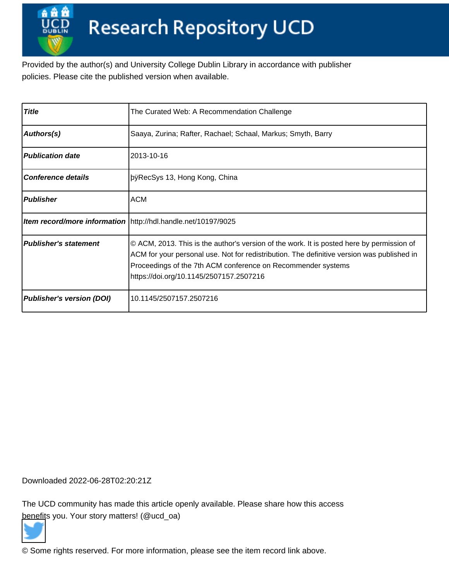Provided by the author(s) and University College Dublin Library in accordance with publisher policies. Please cite the published version when available.

| <b>Title</b>                     | The Curated Web: A Recommendation Challenge                                                                                                                                                                                                                                                        |
|----------------------------------|----------------------------------------------------------------------------------------------------------------------------------------------------------------------------------------------------------------------------------------------------------------------------------------------------|
| Authors(s)                       | Saaya, Zurina; Rafter, Rachael; Schaal, Markus; Smyth, Barry                                                                                                                                                                                                                                       |
| <b>Publication date</b>          | 2013-10-16                                                                                                                                                                                                                                                                                         |
| <b>Conference details</b>        | þÿRecSys 13, Hong Kong, China                                                                                                                                                                                                                                                                      |
| <b>Publisher</b>                 | <b>ACM</b>                                                                                                                                                                                                                                                                                         |
|                                  | Item record/more information   http://hdl.handle.net/10197/9025                                                                                                                                                                                                                                    |
| <b>Publisher's statement</b>     | © ACM, 2013. This is the author's version of the work. It is posted here by permission of<br>ACM for your personal use. Not for redistribution. The definitive version was published in<br>Proceedings of the 7th ACM conference on Recommender systems<br>https://doi.org/10.1145/2507157.2507216 |
| <b>Publisher's version (DOI)</b> | 10.1145/2507157.2507216                                                                                                                                                                                                                                                                            |

Downloaded 2022-06-28T02:20:21Z

The UCD community has made this article openly available. Please share how this access [benefit](https://twitter.com/intent/tweet?via=ucd_oa&text=DOI%3A10.1145%2F2507157.2507216&url=http%3A%2F%2Fhdl.handle.net%2F10197%2F9025)s you. Your story matters! (@ucd\_oa)



© Some rights reserved. For more information, please see the item record link above.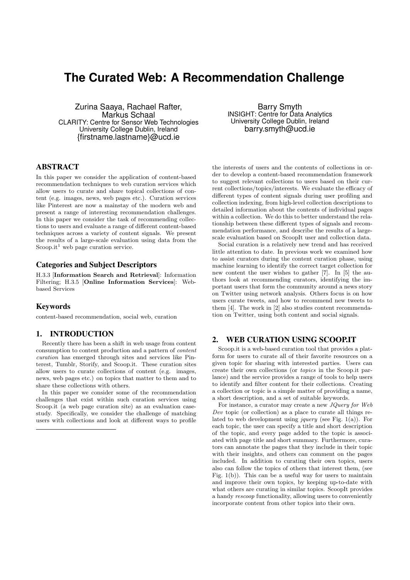# **The Curated Web: A Recommendation Challenge**

Zurina Saaya, Rachael Rafter, Markus Schaal CLARITY: Centre for Sensor Web Technologies University College Dublin, Ireland {firstname.lastname}@ucd.ie

ABSTRACT

In this paper we consider the application of content-based recommendation techniques to web curation services which allow users to curate and share topical collections of content (e.g. images, news, web pages etc.). Curation services like Pinterest are now a mainstay of the modern web and present a range of interesting recommendation challenges. In this paper we consider the task of recommending collections to users and evaluate a range of different content-based techniques across a variety of content signals. We present the results of a large-scale evaluation using data from the Scoop.it<sup>1</sup> web page curation service.

## Categories and Subject Descriptors

H.3.3 [Information Search and Retrieval]: Information Filtering; H.3.5 [Online Information Services]: Webbased Services

# Keywords

content-based recommendation, social web, curation

## 1. INTRODUCTION

Recently there has been a shift in web usage from content consumption to content production and a pattern of *content curation* has emerged through sites and services like Pinterest, Tumblr, Storify, and Scoop.it. These curation sites allow users to curate collections of content (e.g. images, news, web pages etc.) on topics that matter to them and to share these collections with others.

In this paper we consider some of the recommendation challenges that exist within such curation services using Scoop.it (a web page curation site) as an evaluation casestudy. Specifically, we consider the challenge of matching users with collections and look at different ways to profile

Barry Smyth INSIGHT: Centre for Data Analytics University College Dublin, Ireland barry.smyth@ucd.ie

the interests of users and the contents of collections in order to develop a content-based recommendation framework to suggest relevant collections to users based on their current collections/topics/interests. We evaluate the efficacy of different types of content signals during user profiling and collection indexing, from high-level collection descriptions to detailed information about the contents of individual pages within a collection. We do this to better understand the relationship between these different types of signals and recommendation performance, and describe the results of a largescale evaluation based on ScoopIt user and collection data.

Social curation is a relatively new trend and has received little attention to date. In previous work we examined how to assist curators during the content curation phase, using machine learning to identify the correct target collection for new content the user wishes to gather [7]. In [5] the authors look at recommending curators, identifying the important users that form the community around a news story on Twitter using network analysis. Others focus is on how users curate tweets, and how to recommend new tweets to them [4]. The work in [2] also studies content recommendation on Twitter, using both content and social signals.

# 2. WEB CURATION USING SCOOP.IT

Scoop.it is a web-based curation tool that provides a platform for users to curate all of their favorite resources on a given topic for sharing with interested parties. Users can create their own collections (or *topics* in the Scoop.it parlance) and the service provides a range of tools to help users to identify and filter content for their collections. Creating a collection or topic is a simple matter of providing a name, a short description, and a set of suitable keywords.

For instance, a curator may create a new *JQuery for Web Dev* topic (or collection) as a place to curate all things related to web development using *jquery* (see Fig. 1(a)). For each topic, the user can specify a title and short description of the topic, and every page added to the topic is associated with page title and short summary. Furthermore, curators can annotate the pages that they include in their topic with their insights, and others can comment on the pages included. In addition to curating their own topics, users also can follow the topics of others that interest them, (see Fig. 1(b)). This can be a useful way for users to maintain and improve their own topics, by keeping up-to-date with what others are curating in similar topics. ScoopIt provides a handy *rescoop* functionality, allowing users to conveniently incorporate content from other topics into their own.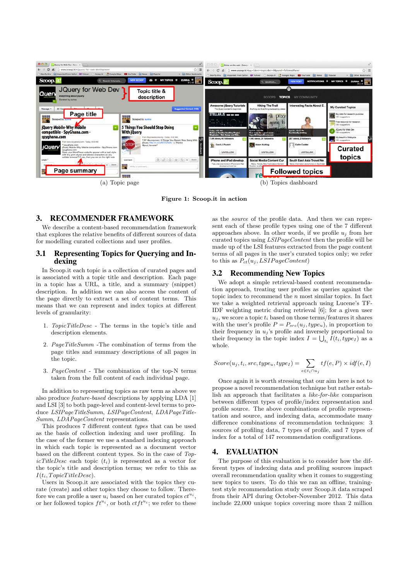

Figure 1: Scoop.it in action

# 3. RECOMMENDER FRAMEWORK

We describe a content-based recommendation framework that explores the relative benefits of different sources of data for modelling curated collections and user profiles.

# 3.1 Representing Topics for Querying and Indexing

In Scoop.it each topic is a collection of curated pages and is associated with a topic title and description. Each page in a topic has a URL, a title, and a summary (snippet) description. In addition we can also access the content of the page directly to extract a set of content terms. This means that we can represent and index topics at different levels of granularity:

- 1. *TopicTitleDesc* The terms in the topic's title and description elements.
- 2. *PageTitleSumm* -The combination of terms from the page titles and summary descriptions of all pages in the topic.
- 3. *PageContent* The combination of the top-N terms taken from the full content of each individual page.

In addition to representing topics as raw term as above we also produce *feature-based* descriptions by applying LDA [1] and LSI [3] to both page-level and content-level terms to produce *LSIPageTitleSumm*, *LSIPageContent*, *LDAPageTitle-Summ*, *LDAPageContent* representations.

This produces 7 different content *types* that can be used as the basis of collection indexing and user profiling. In the case of the former we use a standard indexing approach in which each topic is represented as a document vector based on the different content types. So in the case of *TopicTitleDesc* each topic (*ti*) is represented as a vector for the topic's title and description terms; we refer to this as  $I(t_i, TopicTitleDesc)$ .

Users in Scoop.it are associated with the topics they curate (create) and other topics they choose to follow. Therefore we can profile a user  $u_i$  based on her curated topics  $ct^{u_i}$ , or her followed topics  $ft^{u_i}$ , or both  $ctft^{u_i}$ ; we refer to these as the *source* of the profile data. And then we can represent each of these profile types using one of the 7 different approaches above. In other words, if we profile  $u_j$  from her curated topics using *LSIPageContent* then the profile will be made up of the LSI features extracted from the page content terms of all pages in the user's curated topics only; we refer to this as  $P_{ct}(u_j, LSIPageContent)$ 

#### 3.2 Recommending New Topics

We adopt a simple retrieval-based content recommendation approach, treating user profiles as queries against the topic index to recommend the *n* most similar topics. In fact we take a weighted retrieval approach using Lucene's TF-IDF weighting metric during retrieval [6]; for a given user  $u_j$ , we score a topic  $t_i$  based on those terms/features it shares with the user's profile  $P = P_{src}(u_i, type_u)$ , in proportion to their frequency in  $u_j$ 's profile and inversely proportional to their frequency in the topic index  $I = \bigcup_{t_i} I(t_i, type_I)$  as a whole.

$$
Score(u_j, t_i, src, type_u, type_I) = \sum_{e \in t_i \cap u_j} tf(e, P) \times idf(e, I)
$$

Once again it is worth stressing that our aim here is not to propose a novel recommendation technique but rather establish an approach that facilitates a *like-for-like* comparison between different types of profile/index representation and profile source. The above combinations of profile representation and source, and indexing data, accommodate many difference combinations of recommendation techniques: 3 sources of profiling data, 7 types of profile, and 7 types of index for a total of 147 recommendation configurations.

# 4. EVALUATION

The purpose of this evaluation is to consider how the different types of indexing data and profiling sources impact overall recommendation quality when it comes to suggesting new topics to users. To do this we ran an offline, trainingtest style recommendation study over Scoop.it data scraped from their API during October-November 2012. This data include 22,000 unique topics covering more than 2 million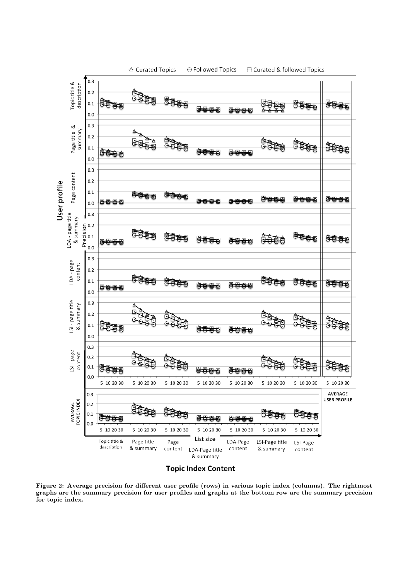

**Topic Index Content** 

Figure 2: Average precision for different user profile (rows) in various topic index (columns). The rightmost graphs are the summary precision for user profiles and graphs at the bottom row are the summary precision for topic index.